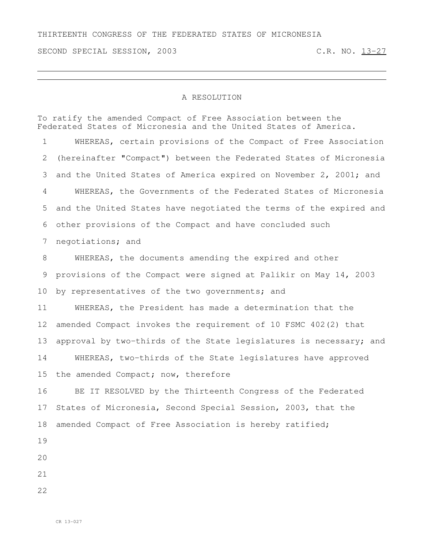SECOND SPECIAL SESSION, 2003 C.R. NO. 13-27

## A RESOLUTION

To ratify the amended Compact of Free Association between the Federated States of Micronesia and the United States of America.

 WHEREAS, certain provisions of the Compact of Free Association (hereinafter "Compact") between the Federated States of Micronesia and the United States of America expired on November 2, 2001; and WHEREAS, the Governments of the Federated States of Micronesia and the United States have negotiated the terms of the expired and other provisions of the Compact and have concluded such negotiations; and WHEREAS, the documents amending the expired and other provisions of the Compact were signed at Palikir on May 14, 2003 10 by representatives of the two governments; and WHEREAS, the President has made a determination that the amended Compact invokes the requirement of 10 FSMC 402(2) that 13 approval by two-thirds of the State legislatures is necessary; and WHEREAS, two-thirds of the State legislatures have approved the amended Compact; now, therefore BE IT RESOLVED by the Thirteenth Congress of the Federated States of Micronesia, Second Special Session, 2003, that the amended Compact of Free Association is hereby ratified;